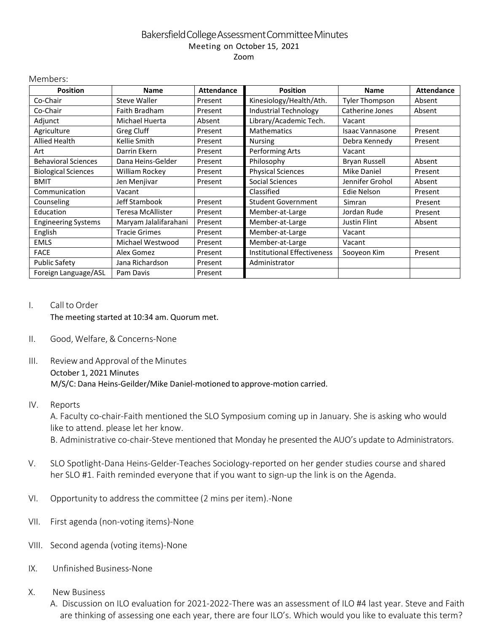# BakersfieldCollegeAssessmentCommitteeMinutes Meeting on October 15, 2021 Zoom

| <b>Position</b>            | <b>Name</b>           | <b>Attendance</b> | <b>Position</b>                    | <b>Name</b>            | <b>Attendance</b> |
|----------------------------|-----------------------|-------------------|------------------------------------|------------------------|-------------------|
| Co-Chair                   | <b>Steve Waller</b>   | Present           | Kinesiology/Health/Ath.            | <b>Tyler Thompson</b>  | Absent            |
| Co-Chair                   | Faith Bradham         | Present           | <b>Industrial Technology</b>       | Catherine Jones        | Absent            |
| Adjunct                    | Michael Huerta        | Absent            | Library/Academic Tech.             | Vacant                 |                   |
| Agriculture                | Greg Cluff            | Present           | <b>Mathematics</b>                 | <b>Isaac Vannasone</b> | Present           |
| <b>Allied Health</b>       | Kellie Smith          | Present           | <b>Nursing</b>                     | Debra Kennedy          | Present           |
| Art                        | Darrin Ekern          | Present           | Performing Arts                    | Vacant                 |                   |
| <b>Behavioral Sciences</b> | Dana Heins-Gelder     | Present           | Philosophy                         | <b>Bryan Russell</b>   | Absent            |
| <b>Biological Sciences</b> | William Rockey        | Present           | <b>Physical Sciences</b>           | <b>Mike Daniel</b>     | Present           |
| <b>BMIT</b>                | Jen Menjivar          | Present           | Social Sciences                    | Jennifer Grohol        | Absent            |
| Communication              | Vacant                |                   | Classified                         | Edie Nelson            | Present           |
| Counseling                 | Jeff Stambook         | Present           | <b>Student Government</b>          | Simran                 | Present           |
| Education                  | Teresa McAllister     | Present           | Member-at-Large                    | Jordan Rude            | Present           |
| <b>Engineering Systems</b> | Maryam Jalalifarahani | Present           | Member-at-Large                    | <b>Justin Flint</b>    | Absent            |
| English                    | <b>Tracie Grimes</b>  | Present           | Member-at-Large                    | Vacant                 |                   |
| <b>EMLS</b>                | Michael Westwood      | Present           | Member-at-Large                    | Vacant                 |                   |
| <b>FACE</b>                | Alex Gomez            | Present           | <b>Institutional Effectiveness</b> | Sooyeon Kim            | Present           |
| <b>Public Safety</b>       | Jana Richardson       | Present           | Administrator                      |                        |                   |
| Foreign Language/ASL       | Pam Davis             | Present           |                                    |                        |                   |

#### I. Call to Order

Members:

The meeting started at 10:34 am. Quorum met.

### II. Good, Welfare,& Concerns-None

## III. Reviewand Approval of the Minutes October 1, 2021 Minutes M/S/C: Dana Heins-Geilder/Mike Daniel-motioned to approve-motion carried.

#### IV. Reports

A. Faculty co-chair-Faith mentioned the SLO Symposium coming up in January. She is asking who would like to attend. please let her know.

B. Administrative co-chair-Steve mentioned that Monday he presented the AUO's update to Administrators.

- V. SLO Spotlight-Dana Heins-Gelder-Teaches Sociology-reported on her gender studies course and shared her SLO #1. Faith reminded everyone that if you want to sign-up the link is on the Agenda.
- VI. Opportunity to address the committee (2 mins per item).-None
- VII. First agenda (non-voting items)-None
- VIII. Second agenda (voting items)-None
- IX. Unfinished Business-None
- X. New Business
	- A. Discussion on ILO evaluation for 2021-2022-There was an assessment of ILO #4 last year. Steve and Faith are thinking of assessing one each year, there are four ILO's. Which would you like to evaluate this term?